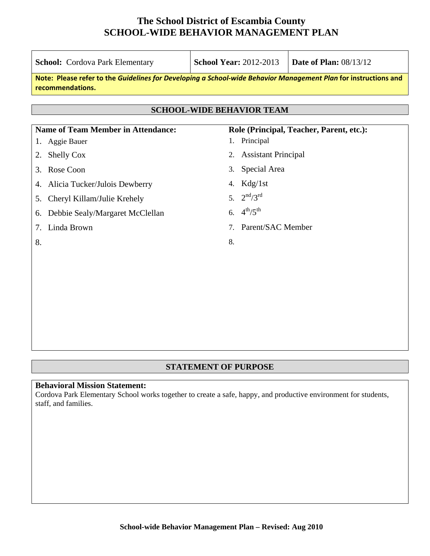| <b>School:</b> Cordova Park Elementary                                                                                              |                                           | <b>School Year: 2012-2013</b> |                                  | <b>Date of Plan: 08/13/12</b>            |
|-------------------------------------------------------------------------------------------------------------------------------------|-------------------------------------------|-------------------------------|----------------------------------|------------------------------------------|
| Note: Please refer to the Guidelines for Developing a School-wide Behavior Management Plan for instructions and<br>recommendations. |                                           |                               |                                  |                                          |
|                                                                                                                                     |                                           |                               |                                  |                                          |
|                                                                                                                                     |                                           |                               | <b>SCHOOL-WIDE BEHAVIOR TEAM</b> |                                          |
|                                                                                                                                     | <b>Name of Team Member in Attendance:</b> |                               |                                  | Role (Principal, Teacher, Parent, etc.): |
| 1. Aggie Bauer                                                                                                                      |                                           |                               | 1. Principal                     |                                          |
| <b>Shelly Cox</b><br>2.                                                                                                             |                                           |                               | 2. Assistant Principal           |                                          |
| Rose Coon<br>3.                                                                                                                     |                                           | 3.                            | Special Area                     |                                          |
| 4. Alicia Tucker/Julois Dewberry                                                                                                    |                                           |                               | 4. $Kdg/1st$                     |                                          |
| 5.                                                                                                                                  | Cheryl Killam/Julie Krehely               |                               | 5. $2^{nd}/3^{rd}$               |                                          |
| 6.                                                                                                                                  | Debbie Sealy/Margaret McClellan           |                               | 6. $4^{th}/5^{th}$               |                                          |
| Linda Brown<br>7.                                                                                                                   |                                           |                               | 7. Parent/SAC Member             |                                          |
| 8.                                                                                                                                  |                                           | 8.                            |                                  |                                          |
|                                                                                                                                     |                                           |                               |                                  |                                          |
|                                                                                                                                     |                                           |                               |                                  |                                          |
|                                                                                                                                     |                                           |                               |                                  |                                          |

### **STATEMENT OF PURPOSE**

### **Behavioral Mission Statement:**

Cordova Park Elementary School works together to create a safe, happy, and productive environment for students, staff, and families.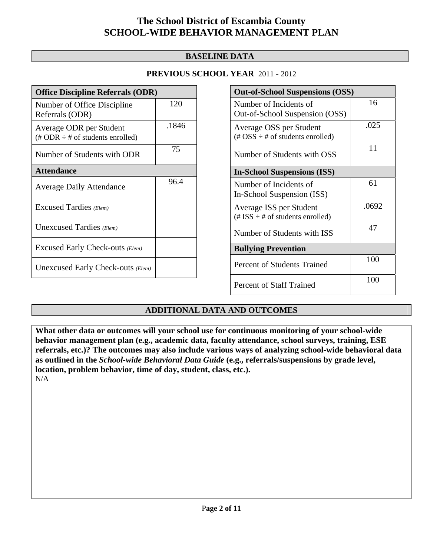### **BASELINE DATA**

### **PREVIOUS SCHOOL YEAR** 2011 - 2012

| <b>Office Discipline Referrals (ODR)</b>                                         |       |  |  |
|----------------------------------------------------------------------------------|-------|--|--|
| Number of Office Discipline<br>Referrals (ODR)                                   | 120   |  |  |
| Average ODR per Student<br>$(\text{\# ODR} \div \text{\# of students enrolled})$ | .1846 |  |  |
| Number of Students with ODR                                                      | 75    |  |  |
| <b>Attendance</b>                                                                |       |  |  |
| <b>Average Daily Attendance</b>                                                  | 96.4  |  |  |
| Excused Tardies (Elem)                                                           |       |  |  |
| Unexcused Tardies (Elem)                                                         |       |  |  |
| Excused Early Check-outs (Elem)                                                  |       |  |  |
| Unexcused Early Check-outs (Elem)                                                |       |  |  |

| <b>Out-of-School Suspensions (OSS)</b>                                                          |       |  |  |  |
|-------------------------------------------------------------------------------------------------|-------|--|--|--|
| Number of Incidents of<br>Out-of-School Suspension (OSS)                                        | 16    |  |  |  |
| Average OSS per Student<br>$(\text{\#} \text{OSS} \div \text{\#} \text{ of students enrolled})$ | .025  |  |  |  |
| Number of Students with OSS                                                                     | 11    |  |  |  |
| <b>In-School Suspensions (ISS)</b>                                                              |       |  |  |  |
| Number of Incidents of<br>In-School Suspension (ISS)                                            | 61    |  |  |  |
| Average ISS per Student<br>(# ISS $\div$ # of students enrolled)                                | .0692 |  |  |  |
| Number of Students with ISS                                                                     | 47    |  |  |  |
| <b>Bullying Prevention</b>                                                                      |       |  |  |  |
| <b>Percent of Students Trained</b>                                                              | 100   |  |  |  |
| Percent of Staff Trained                                                                        | 100   |  |  |  |

### **ADDITIONAL DATA AND OUTCOMES**

**What other data or outcomes will your school use for continuous monitoring of your school-wide behavior management plan (e.g., academic data, faculty attendance, school surveys, training, ESE referrals, etc.)? The outcomes may also include various ways of analyzing school-wide behavioral data as outlined in the** *School-wide Behavioral Data Guide* **(e.g., referrals/suspensions by grade level, location, problem behavior, time of day, student, class, etc.).**

N/A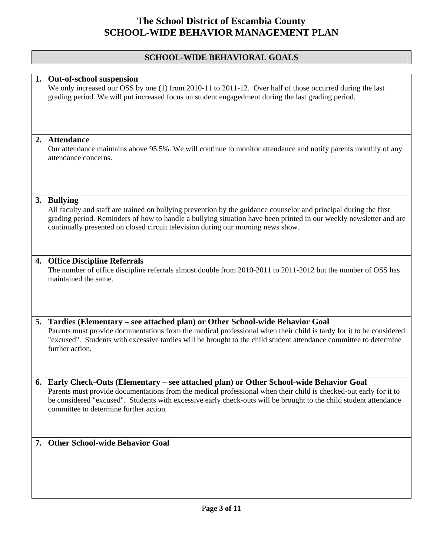## **SCHOOL-WIDE BEHAVIORAL GOALS**

| 1. Out-of-school suspension<br>We only increased our OSS by one (1) from 2010-11 to 2011-12. Over half of those occurred during the last<br>grading period. We will put increased focus on student engagedment during the last grading period.                                                                                                                              |
|-----------------------------------------------------------------------------------------------------------------------------------------------------------------------------------------------------------------------------------------------------------------------------------------------------------------------------------------------------------------------------|
| 2. Attendance<br>Our attendance maintains above 95.5%. We will continue to monitor attendance and notify parents monthly of any<br>attendance concerns.                                                                                                                                                                                                                     |
| 3. Bullying<br>All faculty and staff are trained on bullying prevention by the guidance counselor and principal during the first<br>grading period. Reminders of how to handle a bullying situation have been printed in our weekly newsletter and are<br>continually presented on closed circuit television during our morning news show.                                  |
| 4. Office Discipline Referrals<br>The number of office discipline referrals almost double from 2010-2011 to 2011-2012 but the number of OSS has<br>maintained the same.                                                                                                                                                                                                     |
| 5. Tardies (Elementary – see attached plan) or Other School-wide Behavior Goal<br>Parents must provide documentations from the medical professional when their child is tardy for it to be considered<br>"excused". Students with excessive tardies will be brought to the child student attendance committee to determine<br>further action.                               |
| 6. Early Check-Outs (Elementary – see attached plan) or Other School-wide Behavior Goal<br>Parents must provide documentations from the medical professional when their child is checked-out early for it to<br>be considered "excused". Students with excessive early check-outs will be brought to the child student attendance<br>committee to determine further action. |
| 7. Other School-wide Behavior Goal                                                                                                                                                                                                                                                                                                                                          |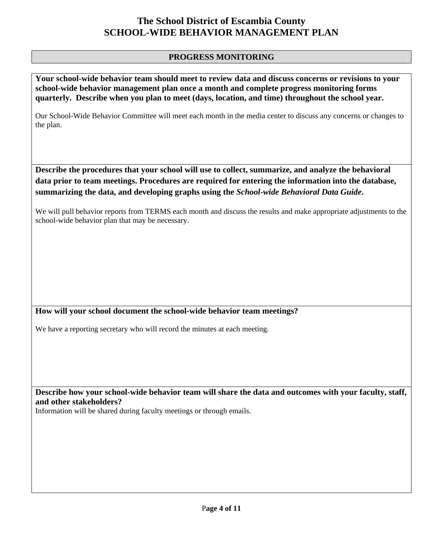#### **PROGRESS MONITORING**

**Your school-wide behavior team should meet to review data and discuss concerns or revisions to your school-wide behavior management plan once a month and complete progress monitoring forms quarterly. Describe when you plan to meet (days, location, and time) throughout the school year.** 

Our School-Wide Behavior Committee will meet each month in the media center to discuss any concerns or changes to the plan.

**Describe the procedures that your school will use to collect, summarize, and analyze the behavioral data prior to team meetings. Procedures are required for entering the information into the database, summarizing the data, and developing graphs using the** *School-wide Behavioral Data Guide***.** 

We will pull behavior reports from TERMS each month and discuss the results and make appropriate adjustments to the school-wide behavior plan that may be necessary.

### **How will your school document the school-wide behavior team meetings?**

We have a reporting secretary who will record the minutes at each meeting.

**Describe how your school-wide behavior team will share the data and outcomes with your faculty, staff, and other stakeholders?** 

Information will be shared during faculty meetings or through emails.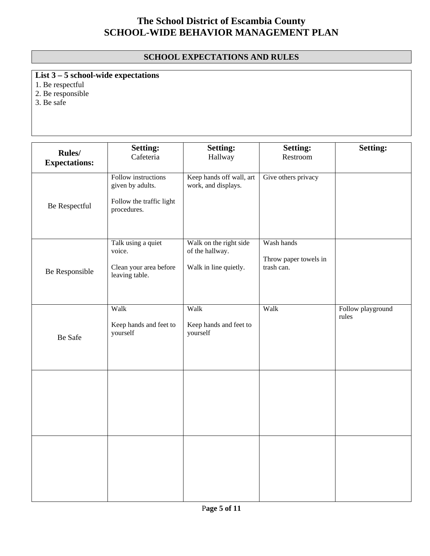### **SCHOOL EXPECTATIONS AND RULES**

**List 3 – 5 school-wide expectations**

1. Be respectful

2. Be responsible

 $3. Be$  safe

| <b>Rules/</b><br><b>Expectations:</b> | <b>Setting:</b><br>Cafeteria                                                       | <b>Setting:</b><br>Hallway                                         | <b>Setting:</b><br>Restroom                       | <b>Setting:</b>            |
|---------------------------------------|------------------------------------------------------------------------------------|--------------------------------------------------------------------|---------------------------------------------------|----------------------------|
| Be Respectful                         | Follow instructions<br>given by adults.<br>Follow the traffic light<br>procedures. | Keep hands off wall, art<br>work, and displays.                    | Give others privacy                               |                            |
| Be Responsible                        | Talk using a quiet<br>voice.<br>Clean your area before<br>leaving table.           | Walk on the right side<br>of the hallway.<br>Walk in line quietly. | Wash hands<br>Throw paper towels in<br>trash can. |                            |
| Be Safe                               | Walk<br>Keep hands and feet to<br>yourself                                         | Walk<br>Keep hands and feet to<br>yourself                         | Walk                                              | Follow playground<br>rules |
|                                       |                                                                                    |                                                                    |                                                   |                            |
|                                       |                                                                                    |                                                                    |                                                   |                            |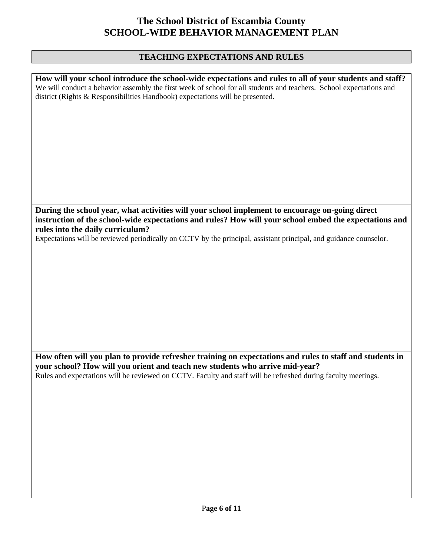#### **TEACHING EXPECTATIONS AND RULES**

| How will your school introduce the school-wide expectations and rules to all of your students and staff?<br>We will conduct a behavior assembly the first week of school for all students and teachers. School expectations and<br>district (Rights & Responsibilities Handbook) expectations will be presented. |
|------------------------------------------------------------------------------------------------------------------------------------------------------------------------------------------------------------------------------------------------------------------------------------------------------------------|
|                                                                                                                                                                                                                                                                                                                  |
|                                                                                                                                                                                                                                                                                                                  |
|                                                                                                                                                                                                                                                                                                                  |

**During the school year, what activities will your school implement to encourage on-going direct instruction of the school-wide expectations and rules? How will your school embed the expectations and rules into the daily curriculum?** 

Expectations will be reviewed periodically on CCTV by the principal, assistant principal, and guidance counselor.

**How often will you plan to provide refresher training on expectations and rules to staff and students in your school? How will you orient and teach new students who arrive mid-year?**  Rules and expectations will be reviewed on CCTV. Faculty and staff will be refreshed during faculty meetings.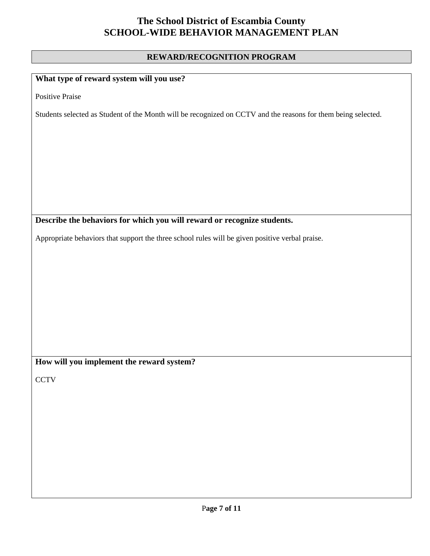#### **REWARD/RECOGNITION PROGRAM**

### **What type of reward system will you use?**

Positive Praise

Students selected as Student of the Month will be recognized on CCTV and the reasons for them being selected.

#### **Describe the behaviors for which you will reward or recognize students.**

Appropriate behaviors that support the three school rules will be given positive verbal praise.

**How will you implement the reward system?** 

**CCTV**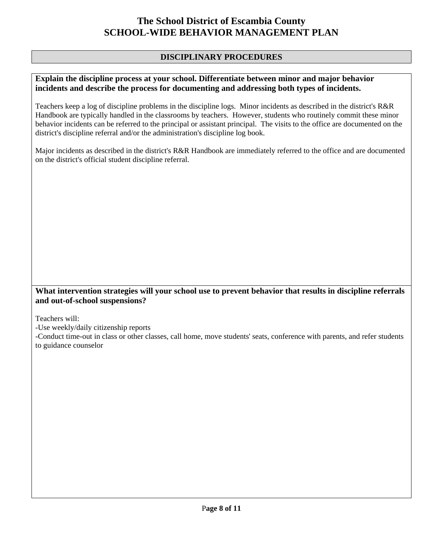### **DISCIPLINARY PROCEDURES**

#### **Explain the discipline process at your school. Differentiate between minor and major behavior incidents and describe the process for documenting and addressing both types of incidents.**

Teachers keep a log of discipline problems in the discipline logs. Minor incidents as described in the district's R&R Handbook are typically handled in the classrooms by teachers. However, students who routinely commit these minor behavior incidents can be referred to the principal or assistant principal. The visits to the office are documented on the district's discipline referral and/or the administration's discipline log book.

Major incidents as described in the district's R&R Handbook are immediately referred to the office and are documented on the district's official student discipline referral.

#### **What intervention strategies will your school use to prevent behavior that results in discipline referrals and out-of-school suspensions?**

Teachers will:

-Use weekly/daily citizenship reports

-Conduct time-out in class or other classes, call home, move students' seats, conference with parents, and refer students to guidance counselor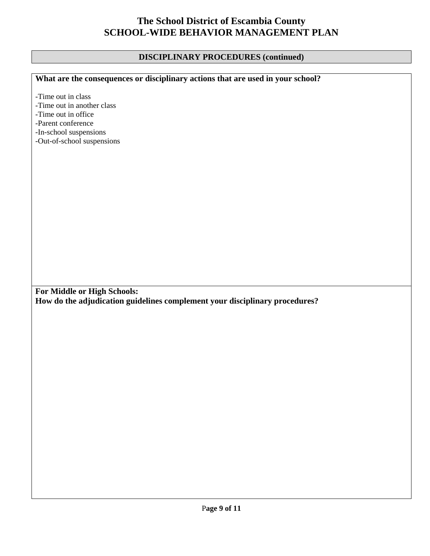## **DISCIPLINARY PROCEDURES (continued)**

| What are the consequences or disciplinary actions that are used in your school? |
|---------------------------------------------------------------------------------|
|                                                                                 |
| -Time out in class                                                              |
| -Time out in another class                                                      |
| -Time out in office                                                             |
| -Parent conference                                                              |
| -In-school suspensions                                                          |
| -Out-of-school suspensions                                                      |
|                                                                                 |
|                                                                                 |
|                                                                                 |
|                                                                                 |
|                                                                                 |
|                                                                                 |
|                                                                                 |
|                                                                                 |
|                                                                                 |
|                                                                                 |
|                                                                                 |
|                                                                                 |
|                                                                                 |
|                                                                                 |
|                                                                                 |
|                                                                                 |
|                                                                                 |
|                                                                                 |
| For Middle or High Schools:                                                     |
|                                                                                 |
| How do the adjudication guidelines complement your disciplinary procedures?     |
|                                                                                 |
|                                                                                 |
|                                                                                 |
|                                                                                 |
|                                                                                 |
|                                                                                 |
|                                                                                 |
|                                                                                 |
|                                                                                 |
|                                                                                 |
|                                                                                 |
|                                                                                 |
|                                                                                 |
|                                                                                 |
|                                                                                 |
|                                                                                 |
|                                                                                 |
|                                                                                 |
|                                                                                 |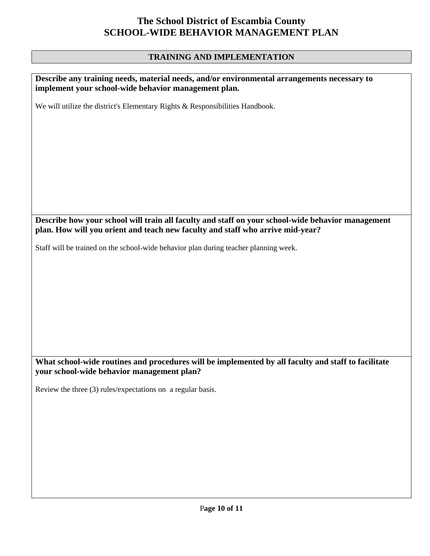## **TRAINING AND IMPLEMENTATION**

| Describe any training needs, material needs, and/or environmental arrangements necessary to<br>implement your school-wide behavior management plan.                                 |
|-------------------------------------------------------------------------------------------------------------------------------------------------------------------------------------|
| We will utilize the district's Elementary Rights & Responsibilities Handbook.                                                                                                       |
|                                                                                                                                                                                     |
|                                                                                                                                                                                     |
|                                                                                                                                                                                     |
|                                                                                                                                                                                     |
|                                                                                                                                                                                     |
|                                                                                                                                                                                     |
|                                                                                                                                                                                     |
| Describe how your school will train all faculty and staff on your school-wide behavior management<br>plan. How will you orient and teach new faculty and staff who arrive mid-year? |
| Staff will be trained on the school-wide behavior plan during teacher planning week.                                                                                                |
|                                                                                                                                                                                     |
|                                                                                                                                                                                     |
|                                                                                                                                                                                     |
|                                                                                                                                                                                     |
|                                                                                                                                                                                     |
|                                                                                                                                                                                     |
|                                                                                                                                                                                     |
| What school-wide routines and procedures will be implemented by all faculty and staff to facilitate<br>your school-wide behavior management plan?                                   |
| Review the three (3) rules/expectations on a regular basis.                                                                                                                         |
|                                                                                                                                                                                     |
|                                                                                                                                                                                     |